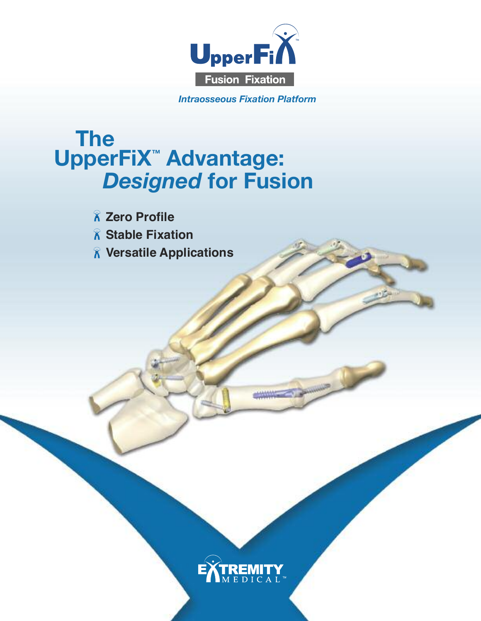

*Intraosseous Fixation Platform*

# **The UpperFiX™ Advantage:** *Designed* **for Fusion**

**• Zero Profile**

- **• Stable Fixation**
- **• Versatile Applications**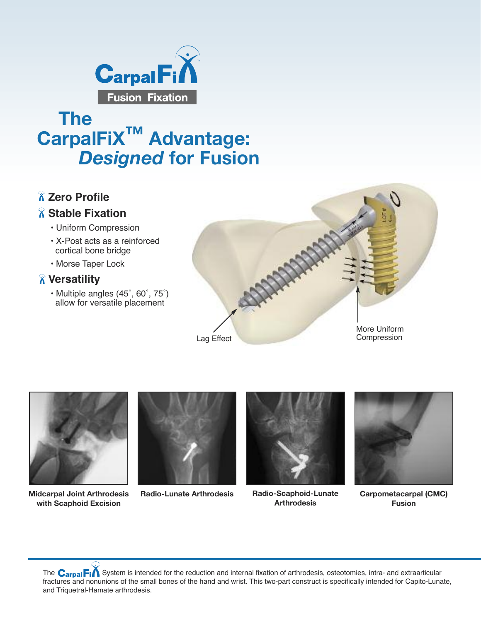

## **The CarpalFiX™ Advantage:** *Designed* **for Fusion**

### **Zero Profile**

#### **Stable Fixation**

- Uniform Compression
- X-Post acts as a reinforced cortical bone bridge
- Morse Taper Lock

#### **Versatility**

• Multiple angles (45˚, 60˚, 75˚) allow for versatile placement





**Midcarpal Joint Arthrodesis with Scaphoid Excision**





**Radio-Scaphoid-Lunate Arthrodesis**



**Radio-Lunate Arthrodesis Badio-Scaphoid-Lunate Carpometacarpal (CMC) Fusion**

The  $C_{\text{arpal}}$   $F_i$  System is intended for the reduction and internal fixation of arthrodesis, osteotomies, intra- and extraarticular fractures and nonunions of the small bones of the hand and wrist. This two-part construct is specifically intended for Capito-Lunate, and Triquetral-Hamate arthrodesis.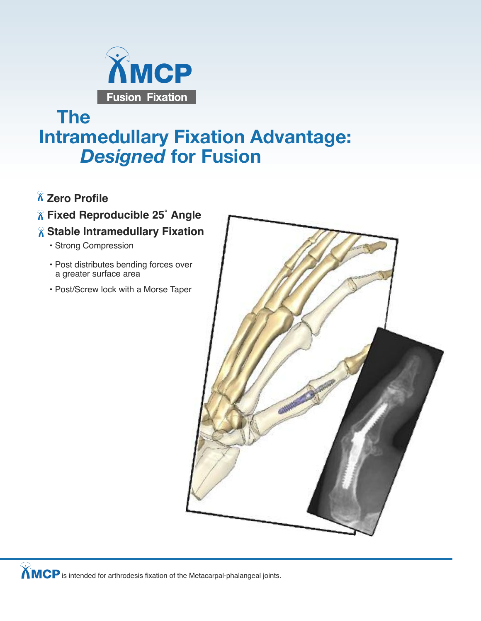

## **The Intramedullary Fixation Advantage:** *Designed* **for Fusion**

- **Zero Profile**
- **Fixed Reproducible 25˚ Angle**
- **Stable Intramedullary Fixation**
	- Strong Compression
	- Post distributes bending forces over a greater surface area
	- Post/Screw lock with a Morse Taper